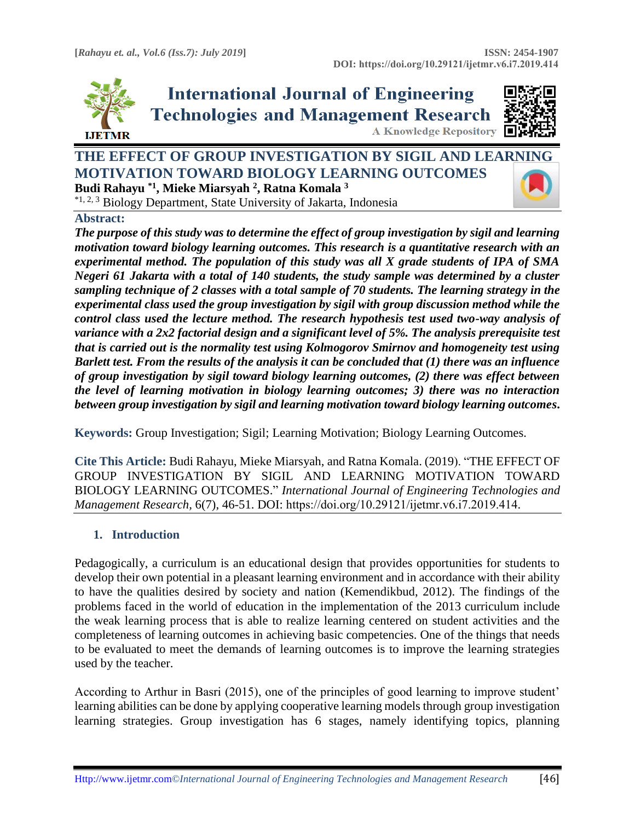

**International Journal of Engineering Technologies and Management Research A Knowledge Repository** 



# **THE EFFECT OF GROUP INVESTIGATION BY SIGIL AND LEA[RNING](https://crossmark.crossref.org/dialog/?doi=10.29121/ijetmr.v6.i7.2019.414&domain=pdf&date_stamp=2019-07-31)  MOTIVATION TOWARD BIOLOGY LEARNING OUTCOMES Budi Rahayu \*1, Mieke Miarsyah <sup>2</sup> , Ratna Komala <sup>3</sup>**

\*1, 2, 3 Biology Department, State University of Jakarta, Indonesia

#### **Abstract:**

*The purpose of this study was to determine the effect of group investigation by sigil and learning motivation toward biology learning outcomes. This research is a quantitative research with an experimental method. The population of this study was all X grade students of IPA of SMA Negeri 61 Jakarta with a total of 140 students, the study sample was determined by a cluster sampling technique of 2 classes with a total sample of 70 students. The learning strategy in the experimental class used the group investigation by sigil with group discussion method while the control class used the lecture method. The research hypothesis test used two-way analysis of variance with a 2x2 factorial design and a significant level of 5%. The analysis prerequisite test that is carried out is the normality test using Kolmogorov Smirnov and homogeneity test using Barlett test. From the results of the analysis it can be concluded that (1) there was an influence of group investigation by sigil toward biology learning outcomes, (2) there was effect between the level of learning motivation in biology learning outcomes; 3) there was no interaction between group investigation by sigil and learning motivation toward biology learning outcomes***.**

**Keywords:** Group Investigation; Sigil; Learning Motivation; Biology Learning Outcomes*.* 

**Cite This Article:** Budi Rahayu, Mieke Miarsyah, and Ratna Komala. (2019). "THE EFFECT OF GROUP INVESTIGATION BY SIGIL AND LEARNING MOTIVATION TOWARD BIOLOGY LEARNING OUTCOMES." *International Journal of Engineering Technologies and Management Research,* 6(7), 46-51. DOI: https://doi.org/10.29121/ijetmr.v6.i7.2019.414.

## **1. Introduction**

Pedagogically, a curriculum is an educational design that provides opportunities for students to develop their own potential in a pleasant learning environment and in accordance with their ability to have the qualities desired by society and nation (Kemendikbud, 2012). The findings of the problems faced in the world of education in the implementation of the 2013 curriculum include the weak learning process that is able to realize learning centered on student activities and the completeness of learning outcomes in achieving basic competencies. One of the things that needs to be evaluated to meet the demands of learning outcomes is to improve the learning strategies used by the teacher.

According to Arthur in Basri (2015), one of the principles of good learning to improve student' learning abilities can be done by applying cooperative learning models through group investigation learning strategies. Group investigation has 6 stages, namely identifying topics, planning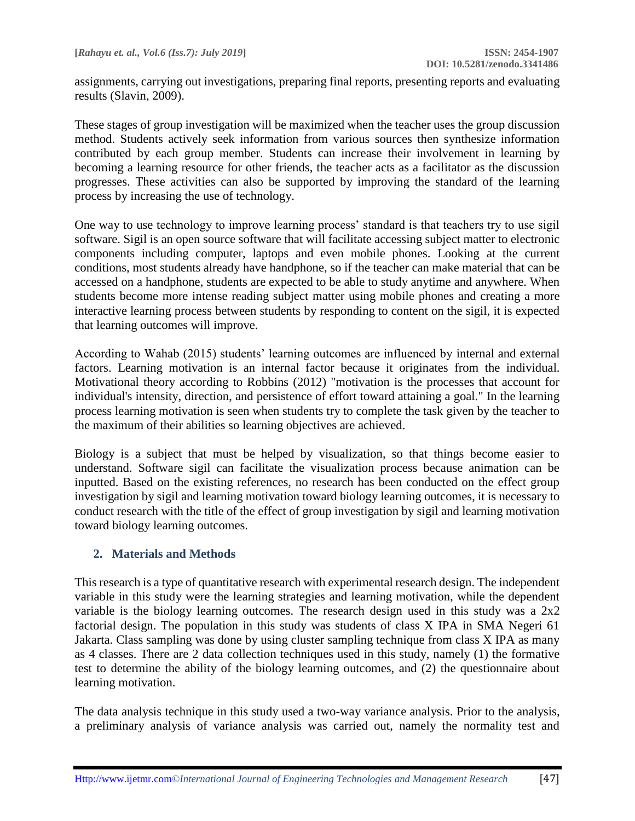assignments, carrying out investigations, preparing final reports, presenting reports and evaluating results (Slavin, 2009).

These stages of group investigation will be maximized when the teacher uses the group discussion method. Students actively seek information from various sources then synthesize information contributed by each group member. Students can increase their involvement in learning by becoming a learning resource for other friends, the teacher acts as a facilitator as the discussion progresses. These activities can also be supported by improving the standard of the learning process by increasing the use of technology.

One way to use technology to improve learning process' standard is that teachers try to use sigil software. Sigil is an open source software that will facilitate accessing subject matter to electronic components including computer, laptops and even mobile phones. Looking at the current conditions, most students already have handphone, so if the teacher can make material that can be accessed on a handphone, students are expected to be able to study anytime and anywhere. When students become more intense reading subject matter using mobile phones and creating a more interactive learning process between students by responding to content on the sigil, it is expected that learning outcomes will improve.

According to Wahab (2015) students' learning outcomes are influenced by internal and external factors. Learning motivation is an internal factor because it originates from the individual. Motivational theory according to Robbins (2012) "motivation is the processes that account for individual's intensity, direction, and persistence of effort toward attaining a goal." In the learning process learning motivation is seen when students try to complete the task given by the teacher to the maximum of their abilities so learning objectives are achieved.

Biology is a subject that must be helped by visualization, so that things become easier to understand. Software sigil can facilitate the visualization process because animation can be inputted. Based on the existing references, no research has been conducted on the effect group investigation by sigil and learning motivation toward biology learning outcomes, it is necessary to conduct research with the title of the effect of group investigation by sigil and learning motivation toward biology learning outcomes.

## **2. Materials and Methods**

This research is a type of quantitative research with experimental research design. The independent variable in this study were the learning strategies and learning motivation, while the dependent variable is the biology learning outcomes. The research design used in this study was a 2x2 factorial design. The population in this study was students of class X IPA in SMA Negeri 61 Jakarta. Class sampling was done by using cluster sampling technique from class X IPA as many as 4 classes. There are 2 data collection techniques used in this study, namely (1) the formative test to determine the ability of the biology learning outcomes, and (2) the questionnaire about learning motivation.

The data analysis technique in this study used a two-way variance analysis. Prior to the analysis, a preliminary analysis of variance analysis was carried out, namely the normality test and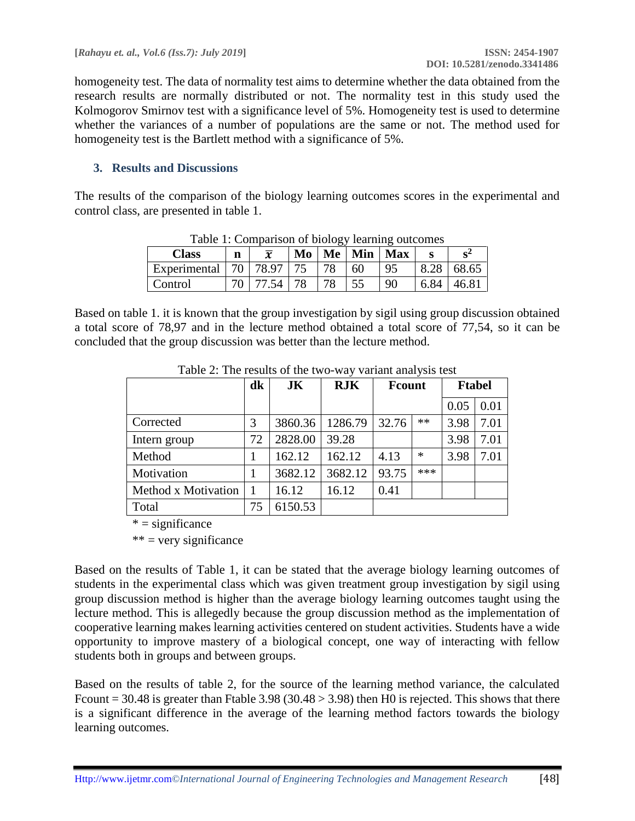homogeneity test. The data of normality test aims to determine whether the data obtained from the research results are normally distributed or not. The normality test in this study used the Kolmogorov Smirnov test with a significance level of 5%. Homogeneity test is used to determine whether the variances of a number of populations are the same or not. The method used for homogeneity test is the Bartlett method with a significance of 5%.

#### **3. Results and Discussions**

The results of the comparison of the biology learning outcomes scores in the experimental and control class, are presented in table 1.

| <b>Class</b>              | n | $\overline{x}$ |    | Table 1. Comparison of biology learning outcomes<br>$Mo \mid Me \mid Min \mid Max$ |    |    |      |       |
|---------------------------|---|----------------|----|------------------------------------------------------------------------------------|----|----|------|-------|
| Experimental   70   78.97 |   |                | 75 | 78                                                                                 | 60 | 95 | 8.28 | 68.65 |
| Control                   |   | 77.54          | 78 | 78                                                                                 | 55 | 90 | 6.84 | 46.81 |

Table 1: Comparison of biology learning outcomes

Based on table 1. it is known that the group investigation by sigil using group discussion obtained a total score of 78,97 and in the lecture method obtained a total score of 77,54, so it can be concluded that the group discussion was better than the lecture method.

|                     | d <b>k</b> | JK      | <b>RJK</b> | <b>F</b> count |        | <b>Ftabel</b> |      |
|---------------------|------------|---------|------------|----------------|--------|---------------|------|
|                     |            |         |            |                |        | 0.05          | 0.01 |
| Corrected           | 3          | 3860.36 | 1286.79    | 32.76          | $**$   | 3.98          | 7.01 |
| Intern group        | 72         | 2828.00 | 39.28      |                |        | 3.98          | 7.01 |
| Method              |            | 162.12  | 162.12     | 4.13           | $\ast$ | 3.98          | 7.01 |
| Motivation          |            | 3682.12 | 3682.12    | 93.75          | ***    |               |      |
| Method x Motivation |            | 16.12   | 16.12      | 0.41           |        |               |      |
| Total               | 75         | 6150.53 |            |                |        |               |      |

Table 2: The results of the two-way variant analysis test

 $* =$  significance

 $**$  = very significance

Based on the results of Table 1, it can be stated that the average biology learning outcomes of students in the experimental class which was given treatment group investigation by sigil using group discussion method is higher than the average biology learning outcomes taught using the lecture method. This is allegedly because the group discussion method as the implementation of cooperative learning makes learning activities centered on student activities. Students have a wide opportunity to improve mastery of a biological concept, one way of interacting with fellow students both in groups and between groups.

Based on the results of table 2, for the source of the learning method variance, the calculated Frount = 30.48 is greater than Ftable 3.98 (30.48  $>$  3.98) then H0 is rejected. This shows that there is a significant difference in the average of the learning method factors towards the biology learning outcomes.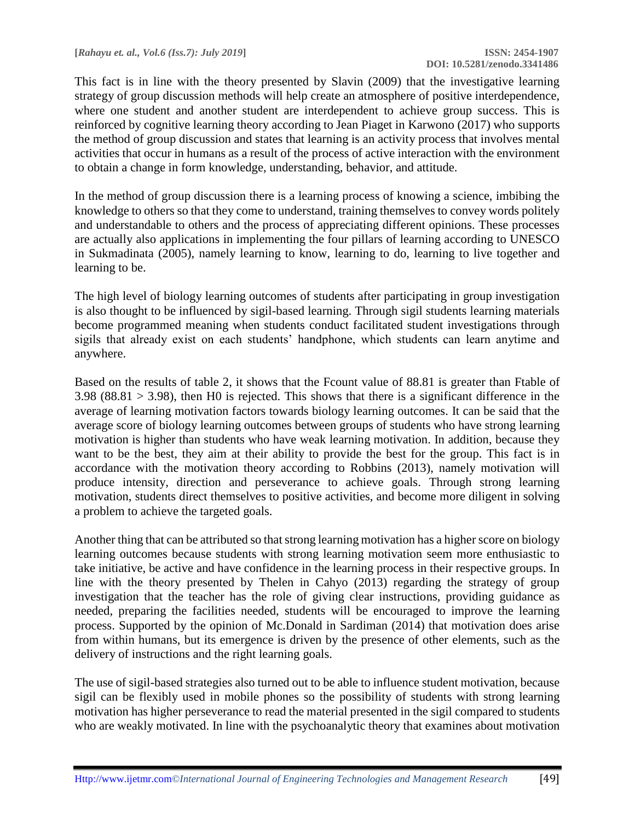This fact is in line with the theory presented by Slavin (2009) that the investigative learning strategy of group discussion methods will help create an atmosphere of positive interdependence, where one student and another student are interdependent to achieve group success. This is reinforced by cognitive learning theory according to Jean Piaget in Karwono (2017) who supports the method of group discussion and states that learning is an activity process that involves mental activities that occur in humans as a result of the process of active interaction with the environment to obtain a change in form knowledge, understanding, behavior, and attitude.

In the method of group discussion there is a learning process of knowing a science, imbibing the knowledge to others so that they come to understand, training themselves to convey words politely and understandable to others and the process of appreciating different opinions. These processes are actually also applications in implementing the four pillars of learning according to UNESCO in Sukmadinata (2005), namely learning to know, learning to do, learning to live together and learning to be.

The high level of biology learning outcomes of students after participating in group investigation is also thought to be influenced by sigil-based learning. Through sigil students learning materials become programmed meaning when students conduct facilitated student investigations through sigils that already exist on each students' handphone, which students can learn anytime and anywhere.

Based on the results of table 2, it shows that the Fcount value of 88.81 is greater than Ftable of  $3.98$  (88.81 > 3.98), then H0 is rejected. This shows that there is a significant difference in the average of learning motivation factors towards biology learning outcomes. It can be said that the average score of biology learning outcomes between groups of students who have strong learning motivation is higher than students who have weak learning motivation. In addition, because they want to be the best, they aim at their ability to provide the best for the group. This fact is in accordance with the motivation theory according to Robbins (2013), namely motivation will produce intensity, direction and perseverance to achieve goals. Through strong learning motivation, students direct themselves to positive activities, and become more diligent in solving a problem to achieve the targeted goals.

Another thing that can be attributed so that strong learning motivation has a higher score on biology learning outcomes because students with strong learning motivation seem more enthusiastic to take initiative, be active and have confidence in the learning process in their respective groups. In line with the theory presented by Thelen in Cahyo (2013) regarding the strategy of group investigation that the teacher has the role of giving clear instructions, providing guidance as needed, preparing the facilities needed, students will be encouraged to improve the learning process. Supported by the opinion of Mc.Donald in Sardiman (2014) that motivation does arise from within humans, but its emergence is driven by the presence of other elements, such as the delivery of instructions and the right learning goals.

The use of sigil-based strategies also turned out to be able to influence student motivation, because sigil can be flexibly used in mobile phones so the possibility of students with strong learning motivation has higher perseverance to read the material presented in the sigil compared to students who are weakly motivated. In line with the psychoanalytic theory that examines about motivation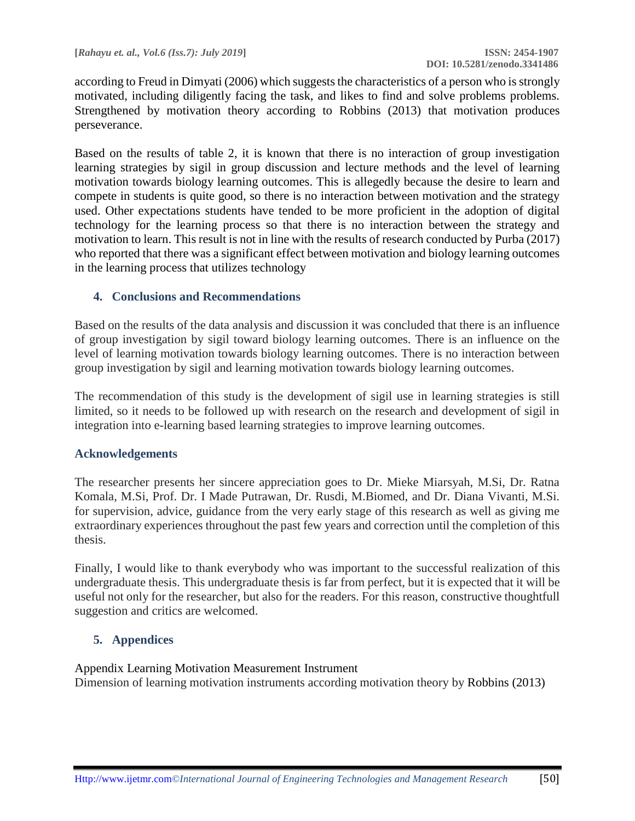according to Freud in Dimyati (2006) which suggests the characteristics of a person who is strongly motivated, including diligently facing the task, and likes to find and solve problems problems. Strengthened by motivation theory according to Robbins (2013) that motivation produces perseverance.

Based on the results of table 2, it is known that there is no interaction of group investigation learning strategies by sigil in group discussion and lecture methods and the level of learning motivation towards biology learning outcomes. This is allegedly because the desire to learn and compete in students is quite good, so there is no interaction between motivation and the strategy used. Other expectations students have tended to be more proficient in the adoption of digital technology for the learning process so that there is no interaction between the strategy and motivation to learn. This result is not in line with the results of research conducted by Purba (2017) who reported that there was a significant effect between motivation and biology learning outcomes in the learning process that utilizes technology

### **4. Conclusions and Recommendations**

Based on the results of the data analysis and discussion it was concluded that there is an influence of group investigation by sigil toward biology learning outcomes. There is an influence on the level of learning motivation towards biology learning outcomes. There is no interaction between group investigation by sigil and learning motivation towards biology learning outcomes.

The recommendation of this study is the development of sigil use in learning strategies is still limited, so it needs to be followed up with research on the research and development of sigil in integration into e-learning based learning strategies to improve learning outcomes.

#### **Acknowledgements**

The researcher presents her sincere appreciation goes to Dr. Mieke Miarsyah, M.Si, Dr. Ratna Komala, M.Si, Prof. Dr. I Made Putrawan, Dr. Rusdi, M.Biomed, and Dr. Diana Vivanti, M.Si. for supervision, advice, guidance from the very early stage of this research as well as giving me extraordinary experiences throughout the past few years and correction until the completion of this thesis.

Finally, I would like to thank everybody who was important to the successful realization of this undergraduate thesis. This undergraduate thesis is far from perfect, but it is expected that it will be useful not only for the researcher, but also for the readers. For this reason, constructive thoughtfull suggestion and critics are welcomed.

## **5. Appendices**

Appendix Learning Motivation Measurement Instrument Dimension of learning motivation instruments according motivation theory by Robbins (2013)